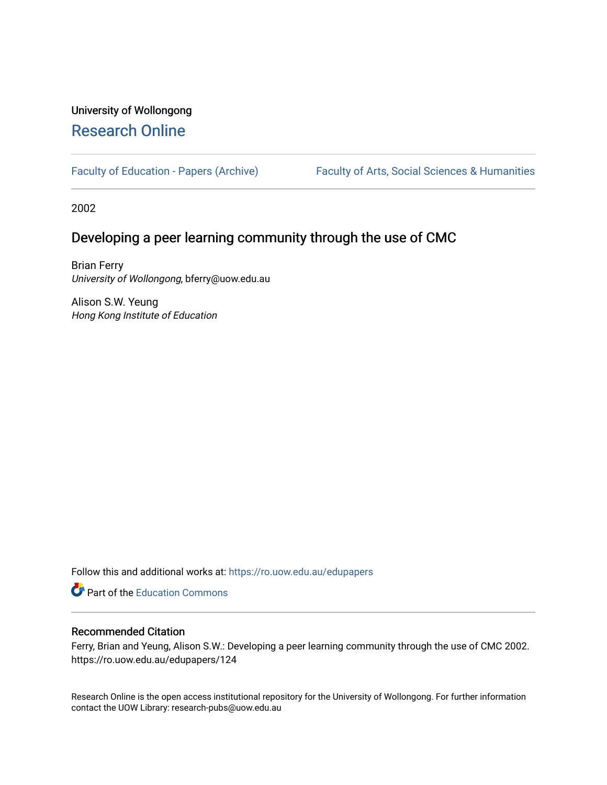# University of Wollongong [Research Online](https://ro.uow.edu.au/)

[Faculty of Education - Papers \(Archive\)](https://ro.uow.edu.au/edupapers) Faculty of Arts, Social Sciences & Humanities

2002

# Developing a peer learning community through the use of CMC

Brian Ferry University of Wollongong, bferry@uow.edu.au

Alison S.W. Yeung Hong Kong Institute of Education

Follow this and additional works at: [https://ro.uow.edu.au/edupapers](https://ro.uow.edu.au/edupapers?utm_source=ro.uow.edu.au%2Fedupapers%2F124&utm_medium=PDF&utm_campaign=PDFCoverPages) 

**C** Part of the [Education Commons](http://network.bepress.com/hgg/discipline/784?utm_source=ro.uow.edu.au%2Fedupapers%2F124&utm_medium=PDF&utm_campaign=PDFCoverPages)

## Recommended Citation

Ferry, Brian and Yeung, Alison S.W.: Developing a peer learning community through the use of CMC 2002. https://ro.uow.edu.au/edupapers/124

Research Online is the open access institutional repository for the University of Wollongong. For further information contact the UOW Library: research-pubs@uow.edu.au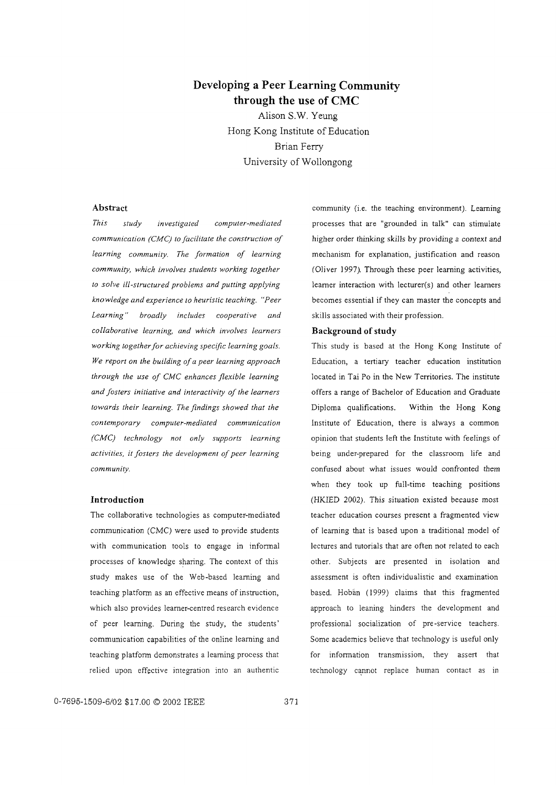## **Developing a Peer Learning Community through the use of CMC**

Alison S.W. Yeung Hong Kong Institute of Education Brian Ferry University of Wollongong

#### **Abstract**

*communication (CMC) to facilitate the construction of learning community. The formation of learning community, which involves students working together to solve ill-structured problems and putting applying knowledge and experience to heuristic teaching. "Peer Learning" broadly includes cooperative and collaborative learning, and which involves learners working togetherfor achieving specific learning goals. We report on the building ofa peer learning approach through the use of CMC enhances flexible learning This study investigated computer-mediated and fosters initiative and interactivity of the learners* offers a range of Bachelor of Education and Graduate *towards their learning. The findings showed that the contemporary computer-mediated communication (CMC) technology not only supports learning activities, it fosters the development of peer learning community.*

#### **Introduction**

The collaborative technologies as computer-mediated communication (CMC) were used to provide students with communication tools to engage in informal processes of knowledge sharing. The context of this study makes use of the Web-based learning and teaching platform as an effective means of instruction, which also provides leamer-centred research evidence of peer learning. During the study, the students' communication capabilities of the online learning and teaching platform demonstrates a learning process that relied upon effective integration into an authentic

community (i.e. the teaching environment). Learning processes that are "grounded in talk" can stimulate higher order thinking skills by providing a context and mechanism for explanation, justification and reason (Oliver 1997). Through these peer learning activities, learner interaction with lecturer(s) and other learners becomes essential if they can master the concepts and skills associated with their profession.

#### **Background** of study

This study is based at the Hong Kong Institute of Education, a tertiary teacher education institution located in Tai Po in the New Territories. The institute Institute of Education, there is always a common opinion that students left the Institute with feelings of being under-prepared for the classroom life and confused about what issues would confronted them Diploma qualifications. Within the Hong Kong when they took up full-time teaching positions (HKIED 2002). This situation existed because most teacher education courses present a fragmented view of learning that is based upon a traditional model of lectures and tutorials that are often not related to each other. Subjects are presented in isolation and assessment is often individualistic and examination based. Hoban (1999) claims that this fragmented approach to leaning hinders the development and professional socialization of pre -service teachers. Some academics believe that technology is useful only for information transmission, they assert that technology cannot replace human contact as in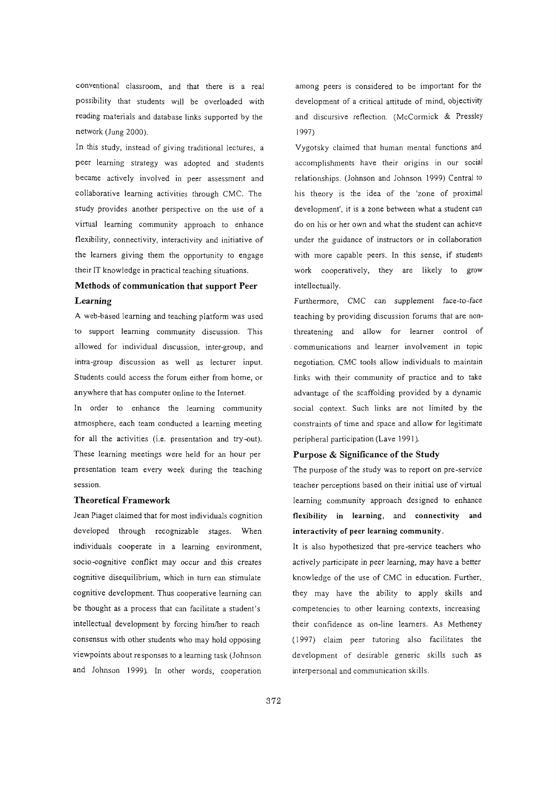conventional classroom, and that there is a real possibility that students will be overloaded with reading materials and database links supported by the network (Jung 2000).

In this study, instead of giving traditional lectures, a peer learning strategy was adopted and students became actively involved in peer assessment and collaborative learning activities through CMC. The study provides another perspective on the use of a virtual learning community approach to enhance flexibility, connectivity, interactivity and initiative of the learners giving them the opportunity to engage their IT knowledge in practical teaching situations.

## Methods of communication that support Peer Learning

A web-based learning and teaching platform was used to support learning community discussion. This allowed for individual discussion, inter-group, and intra-group discussion as well as lecturer input. Students could access the forum either from home, or anywhere that has computer online to the Internet.

In order to enhance the learning community atmosphere, each team conducted a learning meeting for all the activities (i.e. presentation and try-out). These learning meetings were held for an hour per presentation team every week during the teaching session.

#### Theoretical Framework

Jean Piaget claimed that for most individuals cognition developed through recognizable stages. When individuals cooperate in a learning environment, socio-cognitive conflict may occur and this creates cognitive disequilibrium, which in tum can stimulate cognitive development. Thus cooperative learning can be thought as a process that can facilitate a student's intellectual development by forcing him/her to reach consensus with other students who may hold opposing viewpoints about responses to a learning task (Johnson and Johnson 1999). In other words, cooperation

among peers is considered to be important for the development of a critical attitude of mind, objectivity and discursive reflection. (McCormick & Pressley 1997)

Vygotsky claimed that human mental functions and accomplishments have their origins in our social relationships. (Johnson and Johnson 1999) Central to his theory is the idea of the 'zone of proximal development', it is a zone between what a student can do on his or her own and what the student can achieve under the guidance of instructors or in collaboration with more capable peers. In this sense, if students work cooperatively, they are likely to grow intellectually.

Furthermore, CMC can supplement face-to-face teaching by providing discussion forums that are nonthreatening and allow for learner control of . communications and learner involvement in topic negotiation. CMC tools allow individuals to maintain links with their community of practice and to take advantage of the scaffolding provided by a dynamic social context. Such links are not limited by the constraints of time and space and allow for legitimate peripheral participation (Lave 1991).

#### Purpose & Significance of the Study

The purpose of the study was to report on pre-service teacher perceptions based on their initial use of virtual learning community approach designed to enhance flexibility in learning, and connectivity and interactivity of peer learning community.

It is also hypothesized that pre-service teachers who actively participate in peer learning, may have a better knowledge of the use of CMC in education. Further, they may have the ability to apply skills and competencies to other learning contexts, increasing their confidence as on-line learners. As Metheney (1997) claim peer tutoring also facilitates the development of desirable generic skills such as interpersonal and communication skills.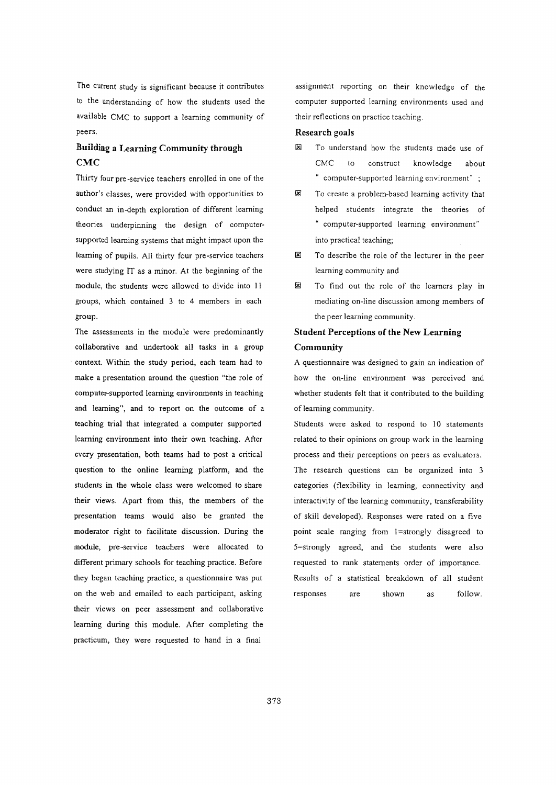The current study is significant because it contributes to the understanding of how the students used the available CMC to support a learning community of peers.

## **Building a Learning Community through CMC**

Thirty four pre -service teachers enrolled in one of the author's classes, were provided with opportunities to conduct an in-depth exploration of different learning theories underpinning the design of computersupported learning systems that might impact upon the learning of pupils. All thirty four pre-service teachers were studying IT as a minor. At the beginning of the module, the students were allowed to divide into II groups, which contained 3 to 4 members in each group.

The assessments in the module were predominantly collaborative and undertook all tasks in a group . context. Within the study period, each team had to make a presentation around the question "the role of computer-supported learning environments in teaching and learning", and to report on the outcome of a teaching trial that integrated a computer supported learning environment into their own teaching. After every presentation, both teams had to post a critical question to the online learning platform, and the students in the whole class were welcomed to share their views. Apart from this, the members of the presentation teams would also be granted the moderator right to facilitate discussion. During the module, pre-service teachers were allocated to different primary schools for teaching practice. Before they began teaching practice, a questionnaire was put on the web and emailed to each participant, asking their views on peer assessment and collaborative learning during this module. After completing the practicum, they were requested to hand in a final

assignment reporting on their knowledge of the computer supported learning environments used and their reflections on practice teaching.

#### **Research goals**

- **E** To understand how the students made use of CMC to construct knowledge about " computer-supported learning environment" ;
- $\mathbb{E}$  To create a problem-based learning activity that helped students integrate the theories of " computer-supported learning environment" into practical teaching;
- $\boxtimes$  To describe the role of the lecturer in the peer learning community and
- **E** To find out the role of the learners play in mediating on-line discussion among members of the peer learning community.

## **Student Perceptions of the New Learning Community**

A questionnaire was designed to gain an indication of how the on-line environment was perceived and whether students felt that it contributed to the building of learning community.

Students were asked to respond to 10 statements related to their opinions on group work in the learning process and their perceptions on peers as evaluators. The research questions can be organized into 3 categories (flexibility in learning, connectivity and interactivity of the learning community, transferability of skill developed). Responses were rated on a five point scale ranging from I=strongly disagreed to 5=strongly agreed, and the students were also requested to rank statements order of importance. Results of a statistical breakdown of all student responses are shown as follow.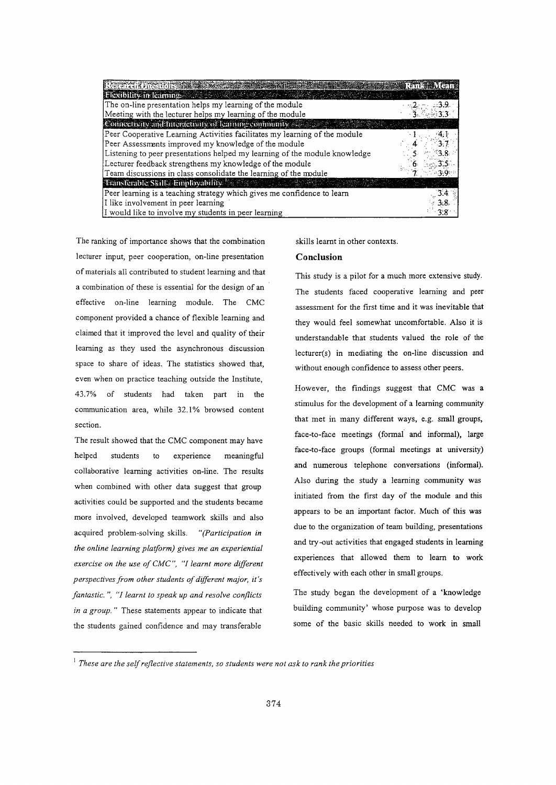| <b>Electority in Camine 2008 Collection</b>                                |  |
|----------------------------------------------------------------------------|--|
| The on-line presentation helps my learning of the module                   |  |
| Meeting with the lecturer helps my learning of the module                  |  |
| Connectivity and Interactivity of learning confinantly and                 |  |
| Peer Cooperative Learning Activities facilitates my learning of the module |  |
| Peer Assessments improved my knowledge of the module                       |  |
| Listening to peer presentations helped my learning of the module knowledge |  |
| Lecturer feedback strengthens my knowledge of the module                   |  |
| Team discussions in class consolidate the learning of the module           |  |
| <b>Eransferable Skill / Employability</b>                                  |  |
| Peer learning is a teaching strategy which gives me confidence to learn    |  |
| I like involvement in peer learning                                        |  |
| I would like to involve my students in peer learning                       |  |

section. The ranking of importance shows that the combination lecturer input, peer cooperation, on-line presentation ofmaterials all contributed to student learning and that a combination of these is essential for the design of an effective on-line learning module. The CMC component provided a chance of flexible learning and claimed that it improved the level and quality of their learning as they used the asynchronous discussion space to share of ideas. The statistics showed that, even when on practice teaching outside the Institute, 43.7% of students had taken part in the communication area, while 32.1% browsed content

The result showed that the CMC component may have collaborative learning activities on-line. The results when combined with other data suggest that group activities could be supported and the students became more involved, developed teamwork skills and also acquired problem-solving skills. *"(Participation in the online learning platform) gives me an experiential exercise on the use of CMC",* "J *learnt more different perspectives from other students ofdifferent major, it's fantastic.* ", "J *learnt to speak up and resolve conflicts in a group.* " These statements appear to indicate that the students gained confidence and may transferable helped students to experience meaningful skills learnt in other contexts.

#### **Conclusion**

This study is a pilot for a much more extensive study. The students faced cooperative learning and peer assessment for the first time and it was inevitable that they would feel somewhat uncomfortable. Also it is understandable that students valued the role of the lecturer(s) in mediating the on-line discussion and without enough confidence to assess other peers.

However, the findings suggest that CMC was a stimulus for the development of a learning community that met in many different ways, e.g. srmll groups, face-to-face meetings (formal and informal), large face-to-face groups (formal meetings at university) and numerous telephone conversations (informal). Also during the study a learning community was initiated from the first day of the module and this appears to be an important factor. Much of this was due to the organization of team building, presentations and try-out activities that engaged students in learning experiences that allowed them to learn to work effectively with each other in small groups.

The study began the development of a 'knowledge building community' whose purpose was to develop some of the basic skills needed to work in small

<sup>1</sup> *These are the selfreflective statements, so students were not ask to rank the priorities*